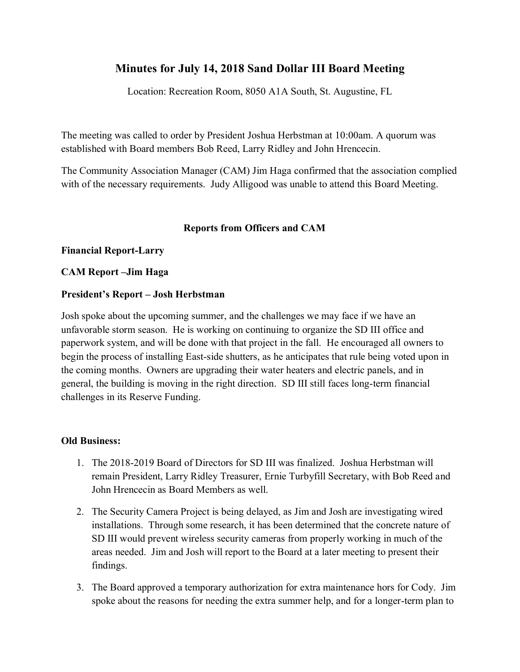# **Minutes for July 14, 2018 Sand Dollar III Board Meeting**

Location: Recreation Room, 8050 A1A South, St. Augustine, FL

The meeting was called to order by President Joshua Herbstman at 10:00am. A quorum was established with Board members Bob Reed, Larry Ridley and John Hrencecin.

The Community Association Manager (CAM) Jim Haga confirmed that the association complied with of the necessary requirements. Judy Alligood was unable to attend this Board Meeting.

## **Reports from Officers and CAM**

## **Financial Report-Larry**

## **CAM Report –Jim Haga**

## **President's Report – Josh Herbstman**

Josh spoke about the upcoming summer, and the challenges we may face if we have an unfavorable storm season. He is working on continuing to organize the SD III office and paperwork system, and will be done with that project in the fall. He encouraged all owners to begin the process of installing East-side shutters, as he anticipates that rule being voted upon in the coming months. Owners are upgrading their water heaters and electric panels, and in general, the building is moving in the right direction. SD III still faces long-term financial challenges in its Reserve Funding.

## **Old Business:**

- 1. The 2018-2019 Board of Directors for SD III was finalized. Joshua Herbstman will remain President, Larry Ridley Treasurer, Ernie Turbyfill Secretary, with Bob Reed and John Hrencecin as Board Members as well.
- 2. The Security Camera Project is being delayed, as Jim and Josh are investigating wired installations. Through some research, it has been determined that the concrete nature of SD III would prevent wireless security cameras from properly working in much of the areas needed. Jim and Josh will report to the Board at a later meeting to present their findings.
- 3. The Board approved a temporary authorization for extra maintenance hors for Cody. Jim spoke about the reasons for needing the extra summer help, and for a longer-term plan to